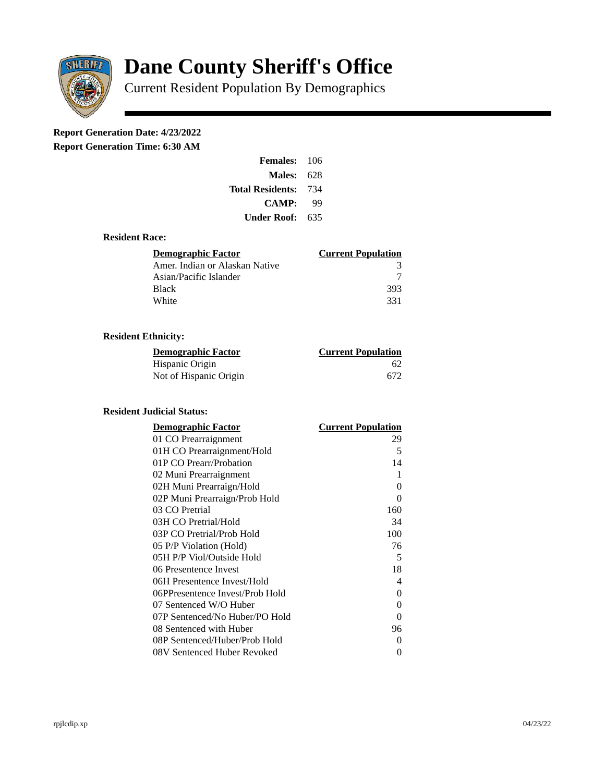

# **Dane County Sheriff's Office**

Current Resident Population By Demographics

# **Report Generation Date: 4/23/2022**

**Report Generation Time: 6:30 AM** 

| <b>Females: 106</b> |     |
|---------------------|-----|
| Males:              | 628 |
| Total Residents:    | 734 |
| CAMP:               | qq  |
| Under Roof: \       | 635 |

### **Resident Race:**

| Demographic Factor             | <b>Current Population</b> |
|--------------------------------|---------------------------|
| Amer. Indian or Alaskan Native | 3                         |
| Asian/Pacific Islander         |                           |
| <b>Black</b>                   | 393                       |
| White                          | 331                       |

# **Resident Ethnicity:**

| <u>Demographic Factor</u> | <b>Current Population</b> |
|---------------------------|---------------------------|
| Hispanic Origin           | 62                        |
| Not of Hispanic Origin    | 672                       |

#### **Resident Judicial Status:**

| <b>Demographic Factor</b>       | <b>Current Population</b> |
|---------------------------------|---------------------------|
| 01 CO Prearraignment            | 29                        |
| 01H CO Prearraignment/Hold      | 5                         |
| 01P CO Prearr/Probation         | 14                        |
| 02 Muni Prearraignment          | 1                         |
| 02H Muni Prearraign/Hold        | 0                         |
| 02P Muni Prearraign/Prob Hold   | 0                         |
| 03 CO Pretrial                  | 160                       |
| 03H CO Pretrial/Hold            | 34                        |
| 03P CO Pretrial/Prob Hold       | 100                       |
| 05 P/P Violation (Hold)         | 76                        |
| 05H P/P Viol/Outside Hold       | 5                         |
| 06 Presentence Invest           | 18                        |
| 06H Presentence Invest/Hold     | 4                         |
| 06PPresentence Invest/Prob Hold | 0                         |
| 07 Sentenced W/O Huber          | 0                         |
| 07P Sentenced/No Huber/PO Hold  | 0                         |
| 08 Sentenced with Huber         | 96                        |
| 08P Sentenced/Huber/Prob Hold   | 0                         |
| 08V Sentenced Huber Revoked     | 0                         |